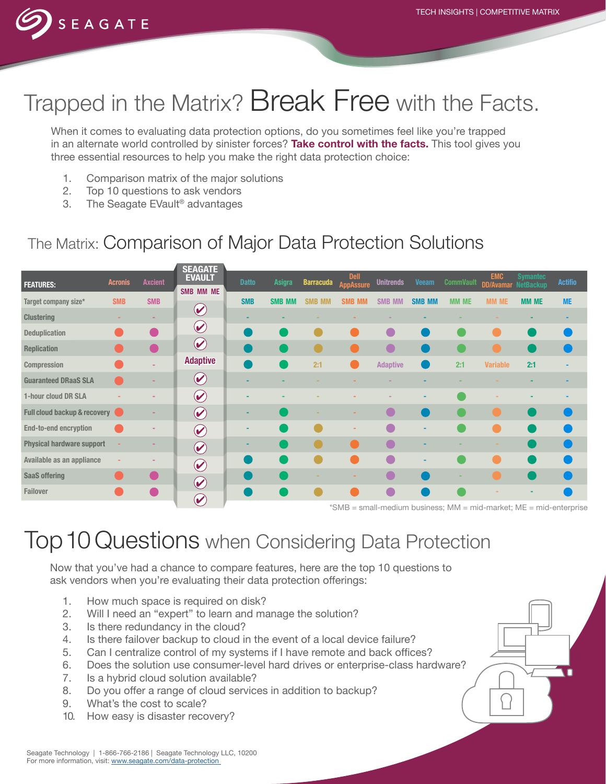

# Trapped in the Matrix? Break Free with the Facts.

When it comes to evaluating data protection options, do you sometimes feel like you're trapped in an alternate world controlled by sinister forces? **Take control with the facts.** This tool gives you three essential resources to help you make the right data protection choice:

- 1. Comparison matrix of the major solutions
- 2. Top 10 questions to ask vendors
- 3. The Seagate EVault® advantages

## The Matrix: Comparison of Major Data Protection Solutions

|                                  |                |                | <b>SEAGATE</b>                                             |              |               |                  |                                     |                         |               |                                                                 |                 |                                               |                                   |
|----------------------------------|----------------|----------------|------------------------------------------------------------|--------------|---------------|------------------|-------------------------------------|-------------------------|---------------|-----------------------------------------------------------------|-----------------|-----------------------------------------------|-----------------------------------|
| <b>FEATURES:</b>                 | <b>Acronis</b> | <b>Axcient</b> | <b>EVAULT</b><br>SMB MM ME                                 | <b>Datto</b> | Asigra        | <b>Barracuda</b> | <b>Dell</b><br><b>AppAssure</b>     | <b>Unitrends</b>        | <b>Veeam</b>  | <b>CommVault</b>                                                | <b>EMC</b>      | <b>Symantec</b><br><b>DD/Avamar NetBackup</b> | <b>Actifio</b>                    |
| Target company size*             | <b>SMB</b>     | <b>SMB</b>     |                                                            | <b>SMB</b>   | <b>SMB MM</b> | <b>SMB</b>       | <b>SMB MM</b>                       | <b>SMB</b><br><b>MM</b> | <b>SMB MM</b> | <b>MM ME</b>                                                    | <b>MM ME</b>    | <b>MM ME</b>                                  | <b>ME</b>                         |
| <b>Clustering</b>                |                |                | $\left(\color{blue}\blacktriangledown\color{black}\right)$ |              |               |                  |                                     |                         |               |                                                                 |                 |                                               |                                   |
| <b>Deduplication</b>             |                |                | $\blacktriangledown$                                       |              |               |                  |                                     |                         |               |                                                                 |                 |                                               |                                   |
| <b>Replication</b>               |                |                | $\blacktriangledown$                                       |              |               |                  |                                     |                         |               |                                                                 |                 |                                               |                                   |
| Compression                      |                |                | <b>Adaptive</b>                                            |              |               | 2:1              |                                     | <b>Adaptive</b>         |               | 2:1                                                             | <b>Variable</b> | 2:1                                           |                                   |
| <b>Guaranteed DRaaS SLA</b>      |                |                | $\left(\blacklozenge\right)$                               |              |               |                  |                                     |                         |               |                                                                 |                 |                                               |                                   |
| 1-hour cloud DR SLA              |                |                | $(\blacktriangleright)$                                    |              |               |                  |                                     |                         |               |                                                                 |                 |                                               |                                   |
| Full cloud backup & recovery     |                |                | $\boldsymbol{\omega}$                                      |              |               |                  |                                     |                         |               |                                                                 |                 |                                               |                                   |
| <b>End-to-end encryption</b>     |                |                | $\bigcirc$                                                 |              |               |                  |                                     | C                       |               |                                                                 |                 |                                               |                                   |
| <b>Physical hardware support</b> |                |                | $\blacktriangledown$                                       |              |               |                  |                                     |                         |               |                                                                 |                 |                                               |                                   |
| Available as an appliance        |                |                | $\boldsymbol{\omega}$                                      |              |               |                  |                                     | <b>TA</b>               | ۰             |                                                                 |                 |                                               |                                   |
| <b>SaaS offering</b>             |                |                | $\blacklozenge$                                            |              |               |                  |                                     |                         |               |                                                                 |                 |                                               |                                   |
| <b>Failover</b>                  |                |                |                                                            |              |               |                  |                                     |                         |               |                                                                 |                 |                                               |                                   |
|                                  |                |                | $\bigcirc$                                                 |              |               |                  | $*$ $\cap$ $\wedge$ $\wedge$ $\Box$ |                         |               | and all providence leads a second AANA and and providents AAFT. |                 |                                               | والمرابع ويبرز والمراوي المراويون |

\*SMB = small-medium business; MM = mid-market; ME = mid-enterprise

## Top 10 Questions when Considering Data Protection

Now that you've had a chance to compare features, here are the top 10 questions to ask vendors when you're evaluating their data protection offerings:

- 1. How much space is required on disk?
- 2. Will I need an "expert" to learn and manage the solution?
- 3. Is there redundancy in the cloud?
- 4. Is there failover backup to cloud in the event of a local device failure?
- 5. Can I centralize control of my systems if I have remote and back offices?
- 6. Does the solution use consumer-level hard drives or enterprise-class hardware?
- 7. Is a hybrid cloud solution available?
- 8. Do you offer a range of cloud services in addition to backup?
- 9. What's the cost to scale?
- 10. How easy is disaster recovery?